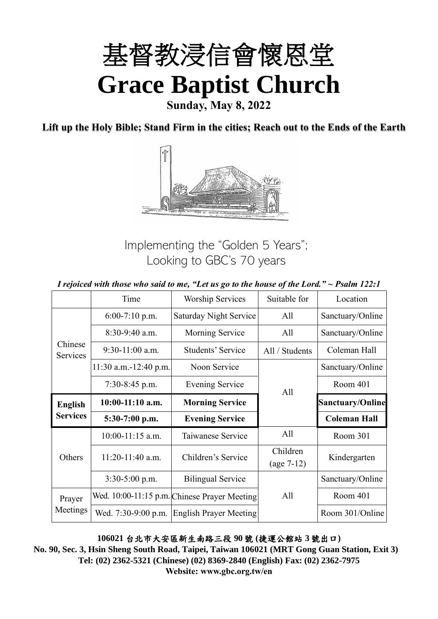

**Lift up the Holy Bible; Stand Firm in the cities; Reach out to the Ends of the Earth**



Implementing the "Golden 5 Years"; Looking to GBC's 70 years

|                     |                         | I rejoiced with those who said to me, "Let us go to the house of the Lord." $\sim$ Psalm 122:1 |                          |                         |
|---------------------|-------------------------|------------------------------------------------------------------------------------------------|--------------------------|-------------------------|
|                     | Time                    | <b>Worship Services</b>                                                                        | Suitable for             | Location                |
|                     | $6:00-7:10$ p.m.        | Saturday Night Service                                                                         | All                      | Sanctuary/Online        |
|                     | $8:30-9:40$ a.m.        | Morning Service                                                                                | All                      | Sanctuary/Online        |
| Chinese<br>Services | $9:30-11:00$ a.m.       | Students' Service                                                                              | All / Students           | Coleman Hall            |
|                     | $11:30$ a.m.-12:40 p.m. | Noon Service                                                                                   |                          | Sanctuary/Online        |
|                     | $7:30-8:45$ p.m.        | Evening Service                                                                                | All                      | Room 401                |
| <b>English</b>      | 10:00-11:10 a.m.        | <b>Morning Service</b>                                                                         |                          | <b>Sanctuary/Online</b> |
| <b>Services</b>     | $5:30-7:00$ p.m.        | <b>Evening Service</b>                                                                         |                          | <b>Coleman Hall</b>     |
|                     | 10:00-11:15 a.m.        | Taiwanese Service                                                                              | All                      |                         |
|                     |                         |                                                                                                |                          | Room 301                |
| Others              | $11:20-11:40$ a.m.      | Children's Service                                                                             | Children<br>$(age 7-12)$ | Kindergarten            |
|                     | $3:30-5:00$ p.m.        | <b>Bilingual Service</b>                                                                       |                          | Sanctuary/Online        |
| Prayer              |                         | Wed. 10:00-11:15 p.m. Chinese Prayer Meeting                                                   | All                      | Room 401                |

**106021** 台北市大安區新生南路三段 **90** 號 **(**捷運公館站 **3** 號出口**)**

**No. 90, Sec. 3, Hsin Sheng South Road, Taipei, Taiwan 106021 (MRT Gong Guan Station, Exit 3) Tel: (02) 2362-5321 (Chinese) (02) 8369-2840 (English) Fax: (02) 2362-7975 Website: www.gbc.org.tw/en**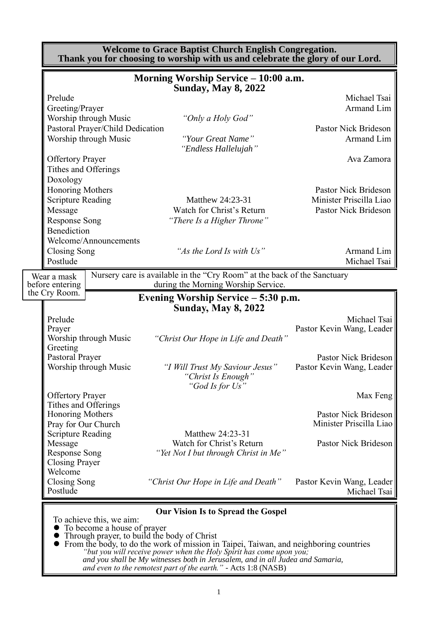|                                                                                                            | <b>Welcome to Grace Baptist Church English Congregation.</b><br>Thank you for choosing to worship with us and celebrate the glory of our Lord. |                                                                         |
|------------------------------------------------------------------------------------------------------------|------------------------------------------------------------------------------------------------------------------------------------------------|-------------------------------------------------------------------------|
|                                                                                                            | Morning Worship Service – 10:00 a.m.<br><b>Sunday, May 8, 2022</b>                                                                             |                                                                         |
| Prelude<br>Greeting/Prayer                                                                                 |                                                                                                                                                | Michael Tsai<br>Armand Lim                                              |
| Worship through Music<br>Pastoral Prayer/Child Dedication<br>Worship through Music                         | "Only a Holy God"<br>"Your Great Name"                                                                                                         | Pastor Nick Brideson<br>Armand Lim                                      |
| <b>Offertory Prayer</b><br>Tithes and Offerings                                                            | "Endless Hallelujah"                                                                                                                           | Ava Zamora                                                              |
| Doxology<br>Honoring Mothers<br><b>Scripture Reading</b><br>Message<br><b>Response Song</b><br>Benediction | Matthew 24:23-31<br>Watch for Christ's Return<br>"There Is a Higher Throne"                                                                    | Pastor Nick Brideson<br>Minister Priscilla Liao<br>Pastor Nick Brideson |
| Welcome/Announcements<br><b>Closing Song</b><br>Postlude                                                   | "As the Lord Is with Us"                                                                                                                       | Armand Lim<br>Michael Tsai                                              |
| Wear a mask<br>before entering                                                                             | Nursery care is available in the "Cry Room" at the back of the Sanctuary<br>during the Morning Worship Service.                                |                                                                         |
| the Cry Room.                                                                                              | Evening Worship Service - 5:30 p.m.<br><b>Sunday, May 8, 2022</b>                                                                              |                                                                         |
| Prelude<br>Prayer<br>Worship through Music                                                                 | "Christ Our Hope in Life and Death"                                                                                                            | Michael Tsai<br>Pastor Kevin Wang, Leader                               |
| Greeting<br>Pastoral Prayer<br>Worship through Music                                                       | "I Will Trust My Saviour Jesus"<br>"Christ Is Enough"<br>"God Is for Us"                                                                       | Pastor Nick Brideson<br>Pastor Kevin Wang, Leader                       |
| <b>Offertory Prayer</b><br>Tithes and Offerings                                                            |                                                                                                                                                | Max Feng                                                                |
| <b>Honoring Mothers</b><br>Pray for Our Church                                                             |                                                                                                                                                | Pastor Nick Brideson<br>Minister Priscilla Liao                         |
| <b>Scripture Reading</b><br>Message<br><b>Response Song</b><br><b>Closing Prayer</b><br>Welcome            | Matthew 24:23-31<br>Watch for Christ's Return<br>"Yet Not I but through Christ in Me"                                                          | Pastor Nick Brideson                                                    |
| <b>Closing Song</b><br>Postlude                                                                            | "Christ Our Hope in Life and Death"                                                                                                            | Pastor Kevin Wang, Leader<br>Michael Tsai                               |
| To achieve this, we aim:                                                                                   | <b>Our Vision Is to Spread the Gospel</b>                                                                                                      |                                                                         |

⚫ To become a house of prayer

- ⚫ Through prayer, to build the body of Christ
- ⚫ From the body, to do the work of mission in Taipei, Taiwan, and neighboring countries *"but you will receive power when the Holy Spirit has come upon you; and you shall be My witnesses both in Jerusalem, and in all Judea and Samaria, and even to the remotest part of the earth." -* Acts 1:8 (NASB)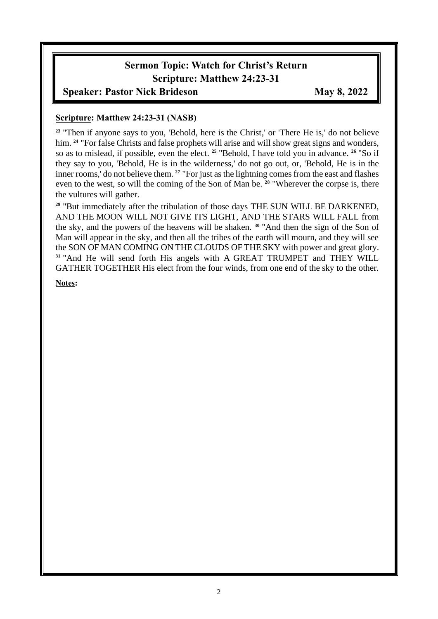# **Sermon Topic: Watch for Christ's Return Scripture: Matthew 24:23-31**

#### **Speaker: Pastor Nick Brideson May 8, 2022**

#### **Scripture: Matthew 24:23-31 (NASB)**

<sup>23</sup> "Then if anyone says to you, 'Behold, here is the Christ,' or 'There He is,' do not believe him. <sup>24</sup> "For false Christs and false prophets will arise and will show great signs and wonders, so as to mislead, if possible, even the elect. **<sup>25</sup>** "Behold, I have told you in advance. **<sup>26</sup>** "So if they say to you, 'Behold, He is in the wilderness,' do not go out, or, 'Behold, He is in the inner rooms,' do not believe them. **<sup>27</sup>** "For just as the lightning comes from the east and flashes even to the west, so will the coming of the Son of Man be. **<sup>28</sup>** "Wherever the corpse is, there the vultures will gather.

**<sup>29</sup>** "But immediately after the tribulation of those days THE SUN WILL BE DARKENED, AND THE MOON WILL NOT GIVE ITS LIGHT, AND THE STARS WILL FALL from the sky, and the powers of the heavens will be shaken. **<sup>30</sup>** "And then the sign of the Son of Man will appear in the sky, and then all the tribes of the earth will mourn, and they will see the SON OF MAN COMING ON THE CLOUDS OF THE SKY with power and great glory. **<sup>31</sup>** "And He will send forth His angels with A GREAT TRUMPET and THEY WILL GATHER TOGETHER His elect from the four winds, from one end of the sky to the other.

**Notes:**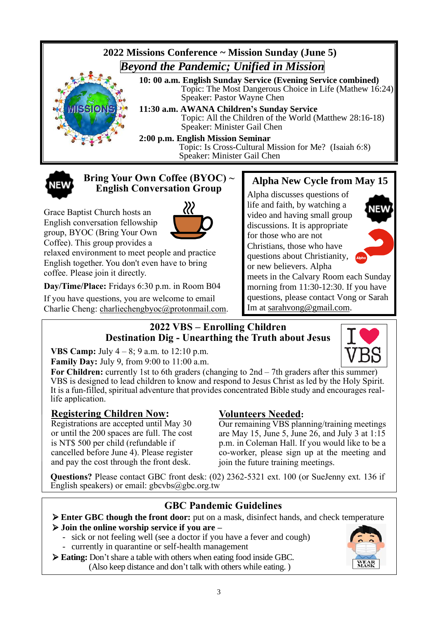

Topic: Is Cross-Cultural Mission for Me? (Isaiah 6:8) Speaker: Minister Gail Chen



#### **Bring Your Own Coffee (BYOC) ~ English Conversation Group**

222

Grace Baptist Church hosts an English conversation fellowship group, BYOC (Bring Your Own Coffee). This group provides a



**Day/Time/Place:** Fridays 6:30 p.m. in Room B04

If you have questions, you are welcome to email Charlie Cheng: charliechengbyoc@protonmail.com.

# **Alpha New Cycle from May 15**

Alpha discusses questions of life and faith, by watching a video and having small group discussions. It is appropriate for those who are not Christians, those who have questions about Christianity, or new believers. Alpha



meets in the Calvary Room each Sunday morning from 11:30-12:30. If you have questions, please contact Vong or Sarah Im at [sarahvong@gmail.com.](mailto:sarahvong@gmail.com)

#### **2022 VBS – Enrolling Children Destination Dig - Unearthing the Truth about Jesus**

**VBS Camp:** July 4 – 8; 9 a.m. to 12:10 p.m.

**Family Day:** July 9, from 9:00 to 11:00 a.m.

For Children: currently 1st to 6th graders (changing to 2nd – 7th graders after this summer) VBS is designed to lead children to know and respond to Jesus Christ as led by the Holy Spirit. It is a fun-filled, spiritual adventure that provides concentrated Bible study and encourages reallife application.

## **Registering Children Now:**

Registrations are accepted until May 30 or until the 200 spaces are full. The cost is NT\$ 500 per child (refundable if cancelled before June 4). Please register and pay the cost through the front desk.

## **Volunteers Needed:**

Our remaining VBS planning/training meetings are May 15, June 5, June 26, and July 3 at 1:15 p.m. in Coleman Hall. If you would like to be a co-worker, please sign up at the meeting and join the future training meetings.

**Questions?** Please contact GBC front desk: (02) 2362-5321 ext. 100 (or SueJenny ext. 136 if English speakers) or email: gbcvbs@gbc.org.tw

## **GBC Pandemic Guidelines**

➢ **Enter GBC though the front door:** put on a mask, disinfect hands, and check temperature

- ➢ **Join the online worship service if you are –**
	- sick or not feeling well (see a doctor if you have a fever and cough)
	- currently in quarantine or self-health management
- ➢ **Eating:** Don't share a table with others when eating food inside GBC. (Also keep distance and don't talk with others while eating. )

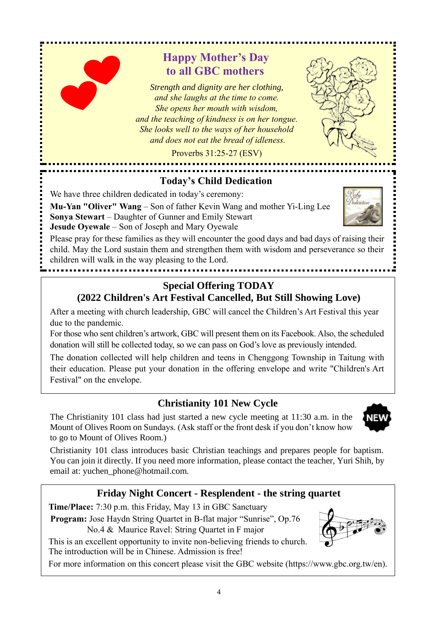# **Happy Mother's Day to all GBC mothers**

*Strength and dignity are her clothing, and she laughs at the time to come. She opens her mouth with wisdom, and the teaching of kindness is on her tongue. She looks well to the ways of her household and does not eat the bread of idleness.*

Proverbs 31:25-27 (ESV)

## **Today's Child Dedication**

We have three children dedicated in today's ceremony:

**Mu-Yan "Oliver" Wang** – Son of father Kevin Wang and mother Yi-Ling Lee **Sonya Stewart** – Daughter of Gunner and Emily Stewart

**Jesude Oyewale** – Son of Joseph and Mary Oyewale

Please pray for these families as they will encounter the good days and bad days of raising their child. May the Lord sustain them and strengthen them with wisdom and perseverance so their children will walk in the way pleasing to the Lord.

#### **Special Offering TODAY (2022 Children's Art Festival Cancelled, But Still Showing Love)**

After a meeting with church leadership, GBC will cancel the Children's Art Festival this year due to the pandemic.

For those who sent children's artwork, GBC will present them on its Facebook. Also, the scheduled donation will still be collected today, so we can pass on God's love as previously intended.

The donation collected will help children and teens in Chenggong Township in Taitung with their education. Please put your donation in the offering envelope and write "Children's Art Festival" on the envelope.

# **Christianity 101 New Cycle**

The Christianity 101 class had just started a new cycle meeting at 11:30 a.m. in the Mount of Olives Room on Sundays. (Ask staff or the front desk if you don't know how to go to Mount of Olives Room.)

Christianity 101 class introduces basic Christian teachings and prepares people for baptism. You can join it directly. If you need more information, please contact the teacher, Yuri Shih, by email at: yuchen\_phone@hotmail.com.

# **Friday Night Concert - Resplendent - the string quartet**

**Time/Place:** 7:30 p.m. this Friday, May 13 in GBC Sanctuary

**Program:** Jose Haydn String Quartet in B-flat major "Sunrise", Op.76

No.4 & Maurice Ravel: String Quartet in F major

This is an excellent opportunity to invite non-believing friends to church. The introduction will be in Chinese. Admission is free!

For more information on this concert please visit the GBC website (https://www.gbc.org.tw/en).





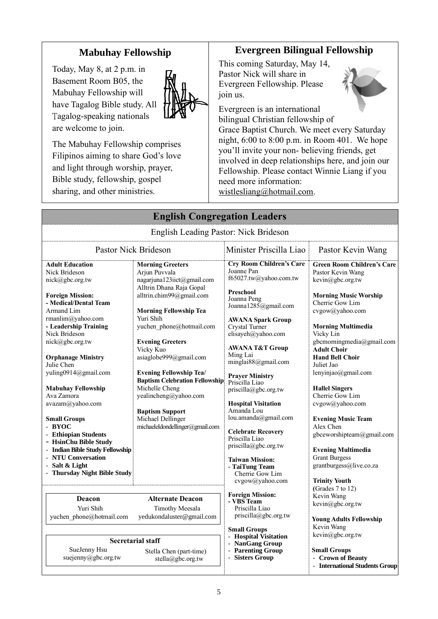# **Mabuhay Fellowship**

Today, May 8, at 2 p.m. in Basement Room B05, the Mabuhay Fellowship will have Tagalog Bible study. All Tagalog-speaking nationals are welcome to join.



The Mabuhay Fellowship comprises Filipinos aiming to share God's love and light through worship, prayer, Bible study, fellowship, gospel sharing, and other ministries.

## **Evergreen Bilingual Fellowship**

This coming Saturday, May 14, Pastor Nick will share in Evergreen Fellowship. Please join us.



Evergreen is an international bilingual Christian fellowship of Grace Baptist Church. We meet every Saturday night, 6:00 to 8:00 p.m. in Room 401. We hope you'll invite your non- believing friends, get involved in deep relationships here, and join our Fellowship. Please contact Winnie Liang if you need more information:

[wistlesliang@hotmail.com.](mailto:wistlesliang@hotmail.com)

|                                                                                                                                                                                                                                                                                                                                                                                                                                                                                                                                               | <b>English Congregation Leaders</b>                                                                                                                                                                                                                                                                                                                                                                                                                                                |                                                                                                                                                                                                                                                                                                                                                                                                                                                                                                                                                |                                                                                                                                                                                                                                                                                                                                                                                                                                                                                                                                    |
|-----------------------------------------------------------------------------------------------------------------------------------------------------------------------------------------------------------------------------------------------------------------------------------------------------------------------------------------------------------------------------------------------------------------------------------------------------------------------------------------------------------------------------------------------|------------------------------------------------------------------------------------------------------------------------------------------------------------------------------------------------------------------------------------------------------------------------------------------------------------------------------------------------------------------------------------------------------------------------------------------------------------------------------------|------------------------------------------------------------------------------------------------------------------------------------------------------------------------------------------------------------------------------------------------------------------------------------------------------------------------------------------------------------------------------------------------------------------------------------------------------------------------------------------------------------------------------------------------|------------------------------------------------------------------------------------------------------------------------------------------------------------------------------------------------------------------------------------------------------------------------------------------------------------------------------------------------------------------------------------------------------------------------------------------------------------------------------------------------------------------------------------|
|                                                                                                                                                                                                                                                                                                                                                                                                                                                                                                                                               | English Leading Pastor: Nick Brideson                                                                                                                                                                                                                                                                                                                                                                                                                                              |                                                                                                                                                                                                                                                                                                                                                                                                                                                                                                                                                |                                                                                                                                                                                                                                                                                                                                                                                                                                                                                                                                    |
| <b>Pastor Nick Brideson</b>                                                                                                                                                                                                                                                                                                                                                                                                                                                                                                                   |                                                                                                                                                                                                                                                                                                                                                                                                                                                                                    | Minister Priscilla Liao                                                                                                                                                                                                                                                                                                                                                                                                                                                                                                                        | Pastor Kevin Wang                                                                                                                                                                                                                                                                                                                                                                                                                                                                                                                  |
| <b>Adult Education</b><br>Nick Brideson<br>nick@gbc.org.tw<br><b>Foreign Mission:</b><br>- Medical/Dental Team<br>Armand Lim<br>rmanlim@yahoo.com<br>- Leadership Training<br>Nick Brideson<br>nick@gbc.org.tw<br><b>Orphanage Ministry</b><br>Julie Chen<br>yuling0914@gmail.com<br><b>Mabuhay Fellowship</b><br>Ava Zamora<br>avazam@yahoo.com<br><b>Small Groups</b><br>- BYOC<br>- Ethiopian Students<br>- HsinChu Bible Study<br>- Indian Bible Study Fellowship<br>- NTU Conversation<br>- Salt & Light<br>- Thursday Night Bible Study | <b>Morning Greeters</b><br>Arjun Puvvala<br>nagarjuna123iict@gmail.com<br>Alltrin Dhana Raja Gopal<br>alltrin.chim99@gmail.com<br><b>Morning Fellowship Tea</b><br>Yuri Shih<br>yuchen_phone@hotmail.com<br><b>Evening Greeters</b><br>Vicky Kuo<br>asiaglobe999@gmail.com<br><b>Evening Fellowship Tea/</b><br><b>Baptism Celebration Fellowship</b><br>Michelle Cheng<br>yealincheng@yahoo.com<br><b>Baptism Support</b><br>Michael Dellinger<br>michaeleldondellinger@gmail.com | <b>Cry Room Children's Care</b><br>Joanne Pan<br>f65027.tw@yahoo.com.tw<br>Preschool<br>Joanna Peng<br>Joanna1285@gmail.com<br><b>AWANA Spark Group</b><br>Crystal Turner<br>elisayeh@yahoo.com<br><b>AWANA T&amp;T Group</b><br>Ming Lai<br>minglai88@gmail.com<br><b>Praver Ministry</b><br>Priscilla Liao<br>priscilla@gbc.org.tw<br><b>Hospital Visitation</b><br>Amanda Lou<br>lou.amanda@gmail.com<br><b>Celebrate Recovery</b><br>Priscilla Liao<br>priscilla@gbc.org.tw<br><b>Taiwan Mission:</b><br>- TaiTung Team<br>Cherrie Gow Lim | <b>Green Room Children's Care</b><br>Pastor Kevin Wang<br>kevin@gbc.org.tw<br><b>Morning Music Worship</b><br>Cherrie Gow Lim<br>cvgow@yahoo.com<br><b>Morning Multimedia</b><br>Vicky Lin<br>gbcmorningmedia@gmail.com<br><b>Adult Choir</b><br><b>Hand Bell Choir</b><br>Juliet Jao<br>lenyinjao@gmail.com<br><b>Hallel Singers</b><br>Cherrie Gow Lim<br>cvgow@yahoo.com<br><b>Evening Music Team</b><br>Alex Chen<br>gbceworshipteam@gmail.com<br><b>Evening Multimedia</b><br><b>Grant Burgess</b><br>grantburgess@live.co.za |
| Deacon<br>Yuri Shih<br>yuchen phone@hotmail.com                                                                                                                                                                                                                                                                                                                                                                                                                                                                                               | <b>Alternate Deacon</b><br>Timothy Meesala<br>yedukondaluster@gmail.com                                                                                                                                                                                                                                                                                                                                                                                                            | cvgow@yahoo.com<br><b>Foreign Mission:</b><br>- VBS Team<br>Priscilla Liao<br>priscilla@gbc.org.tw                                                                                                                                                                                                                                                                                                                                                                                                                                             | <b>Trinity Youth</b><br>(Grades 7 to 12)<br>Kevin Wang<br>kevin@gbc.org.tw<br><b>Young Adults Fellowship</b><br>Kevin Wang                                                                                                                                                                                                                                                                                                                                                                                                         |
| SueJenny Hsu<br>suejenny@gbc.org.tw                                                                                                                                                                                                                                                                                                                                                                                                                                                                                                           | <b>Secretarial staff</b><br>Stella Chen (part-time)<br>stella@gbc.org.tw                                                                                                                                                                                                                                                                                                                                                                                                           | <b>Small Groups</b><br><b>Hospital Visitation</b><br>- NanGang Group<br>- Parenting Group<br>- Sisters Group                                                                                                                                                                                                                                                                                                                                                                                                                                   | kevin@gbc.org.tw<br><b>Small Groups</b><br>- Crown of Beauty<br>- International Students Group                                                                                                                                                                                                                                                                                                                                                                                                                                     |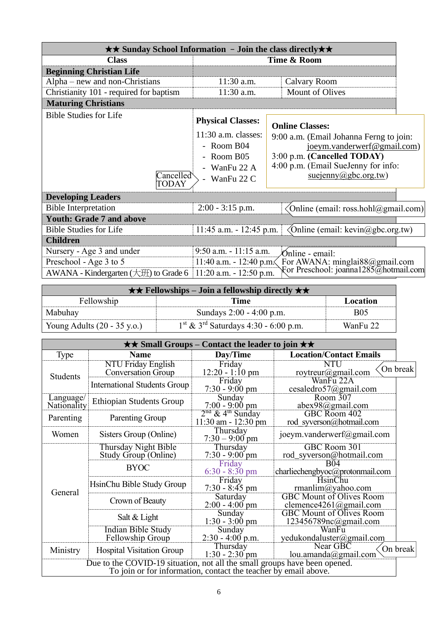| $\star\star$ Sunday School Information - Join the class directly $\star\star$ |                                                                                                                |                                                                                                                                                                                                          |
|-------------------------------------------------------------------------------|----------------------------------------------------------------------------------------------------------------|----------------------------------------------------------------------------------------------------------------------------------------------------------------------------------------------------------|
| <b>Class</b>                                                                  | Time & Room                                                                                                    |                                                                                                                                                                                                          |
| <b>Beginning Christian Life</b>                                               |                                                                                                                |                                                                                                                                                                                                          |
| $Alpha$ – new and non-Christians                                              | $11:30$ a.m.                                                                                                   | Calvary Room                                                                                                                                                                                             |
| Christianity 101 - required for baptism                                       | 11:30 a.m.                                                                                                     | Mount of Olives                                                                                                                                                                                          |
| <b>Maturing Christians</b>                                                    |                                                                                                                |                                                                                                                                                                                                          |
| <b>Bible Studies for Life</b><br>Cancelled<br>TODAY                           | <b>Physical Classes:</b><br>$11:30$ a.m. classes:<br>- Room B04<br>- Room B05<br>- WanFu 22 A<br>- WanFu $22C$ | <b>Online Classes:</b><br>9:00 a.m. (Email Johanna Ferng to join:<br>joeym.vanderwerf@gmail.com)<br>3:00 p.m. (Cancelled TODAY)<br>4:00 p.m. (Email SueJenny for info:<br>$suejenny(\hat{a})gbc.org.tw)$ |
| <b>Developing Leaders</b>                                                     |                                                                                                                |                                                                                                                                                                                                          |
| <b>Bible Interpretation</b>                                                   | $2:00 - 3:15$ p.m.                                                                                             | (Online (email: ross.hohl@gmail.com))                                                                                                                                                                    |
| <b>Youth: Grade 7 and above</b>                                               |                                                                                                                |                                                                                                                                                                                                          |
| <b>Bible Studies for Life</b>                                                 | $11:45$ a.m. $-12:45$ p.m.                                                                                     | Online (email: $\text{kevin}(a)$ gbc.org.tw)                                                                                                                                                             |
| <b>Children</b>                                                               |                                                                                                                |                                                                                                                                                                                                          |
| Nursery - Age 3 and under                                                     | 9:50 a.m. - 11:15 a.m.                                                                                         | Ónline - email:                                                                                                                                                                                          |
| Preschool - Age 3 to 5                                                        | 11:40 a.m. - 12:40 p.m.                                                                                        | For AWANA: minglai88@gmail.com                                                                                                                                                                           |
| AWANA - Kindergarten $(\pm 1)$ to Grade 6                                     | $11:20$ a.m. $-12:50$ p.m.                                                                                     | For Preschool: joanna1285@hotmail.com                                                                                                                                                                    |

|                                       | $\star \star$ Fellowships – Join a fellowship directly $\star \star$ |            |
|---------------------------------------|----------------------------------------------------------------------|------------|
| Fellowship                            | Time                                                                 | Location   |
| Mabuhay                               | Sundays 2:00 - 4:00 p.m.                                             | <b>B05</b> |
| Young Adults $(20 - 35 \text{ y.o.})$ | $1st$ & 3 <sup>rd</sup> Saturdays 4:30 - 6:00 p.m.                   | WanFu 22   |

|                          | $\star\star$ Small Groups – Contact the leader to join $\star\star$ |                                                                                                                                              |                                                           |          |  |  |
|--------------------------|---------------------------------------------------------------------|----------------------------------------------------------------------------------------------------------------------------------------------|-----------------------------------------------------------|----------|--|--|
| Type                     | Name                                                                | Day/Time                                                                                                                                     | <b>Location/Contact Emails</b>                            |          |  |  |
| Students                 | <b>NTU Friday English</b><br><b>Conversation Group</b>              | Friday<br>$12:20 - 1:10 \text{ pm}$                                                                                                          | <b>NTU</b><br>roytreur@gmail.com                          | On break |  |  |
|                          | <b>International Students Group</b>                                 | Friday<br>$7:30 - 9:00$ pm                                                                                                                   | WanFu 22A<br>cesaledro57@gmail.com                        |          |  |  |
| Language/<br>Nationality | <b>Ethiopian Students Group</b>                                     | Sunday<br>$7:00 - 9:00 \text{ pm}$                                                                                                           | Room 307<br>abex98@gmail.com                              |          |  |  |
| Parenting                | Parenting Group                                                     | $2nd$ & 4 <sup>th</sup> Sunday<br>$11:30$ am - $12:30$ pm                                                                                    | GBC Room 402<br>rod syverson@hotmail.com                  |          |  |  |
| Women                    | Sisters Group (Online)                                              | Thursday<br>$7:30 - 9:00$ pm                                                                                                                 | joeym.vanderwerf@gmail.com                                |          |  |  |
|                          | Thursday Night Bible<br>Study Group (Online)                        | Thursday<br>$7:30 - 9:00$ pm                                                                                                                 | GBC Room 301<br>rod_syverson@hotmail.com                  |          |  |  |
|                          | <b>BYOC</b>                                                         | Friday<br>$6:30 - 8:30$ pm                                                                                                                   | B04<br>charliechengbyoc@protonmail.com                    |          |  |  |
| General                  | HsinChu Bible Study Group                                           | Friday<br>$7:30 - 8:45$ pm                                                                                                                   | HsinChu<br>rmanlim@yahoo.com                              |          |  |  |
|                          | Crown of Beauty                                                     | Saturday<br>$2:00 - 4:00$ pm                                                                                                                 | <b>GBC Mount of Olives Room</b><br>clemence4261@gmail.com |          |  |  |
|                          | Salt & Light                                                        | Sunday<br>$1:30 - 3:00$ pm                                                                                                                   | <b>GBC Mount of Olives Room</b><br>123456789nc@gmail.com  |          |  |  |
|                          | <b>Indian Bible Study</b><br>Fellowship Group                       | Sunday<br>$2:30 - 4:00$ p.m.                                                                                                                 | WanFu<br>yedukondaluster@gmail.com                        |          |  |  |
| Ministry                 | <b>Hospital Visitation Group</b>                                    | Thursday<br>$1:30 - 2:30$ pm                                                                                                                 | Near GBC<br>lou.amanda@gmail.com                          | On break |  |  |
|                          |                                                                     | Due to the COVID-19 situation, not all the small groups have been opened.<br>To join or for information, contact the teacher by email above. |                                                           |          |  |  |